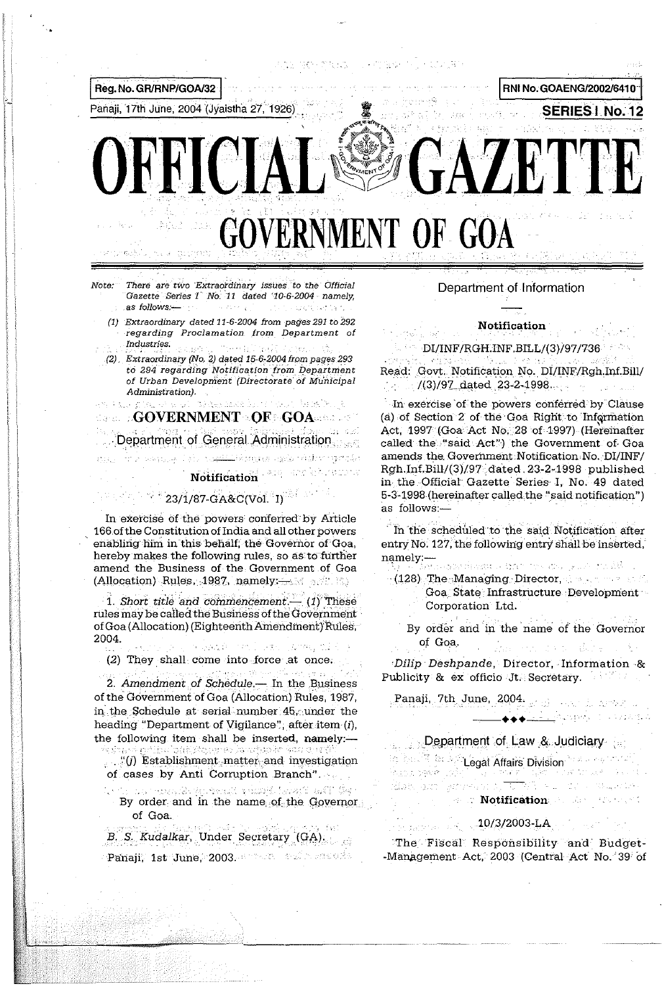

There are two Extraordinary issues to the Official Gazette Series I No. 11 dated '10-6-2004 namely, as follows:- $\mathcal{O}(2\pi\sqrt{1})$ in the country that

(1) Extraordinary dated 11-6-2004 from pages 291 to 292 regarding Proclamation from Department of Industries. massa p

(2) Extraordinary (No. 2) dated 15-6-2004 from pages 293 to 294 regarding Notification from Department of Urban Development (Directorate of Municipal Administration).

insection have been modely below by a Face plan of a sel **CONERNMENT OF GOARDING** 

Department of General Administration

عبد راه ( مرز: ۱۳۵۹ - ۱۹۹۰ - ۱۹۹۰

### **Notification**

Liksman ngels rédior merulei

# $^{\circ}$  23/1/87-GA&C(Vol. I)  $^{\circ}$

In exercise of the powers conferred by Article 166 of the Constitution of India and all other powers enabling him in this behalf, the Governor of Goa, hereby makes the following rules, so as to further amend the Business of the Government of Goa (Allocation) Rules, 1987, namely: $\rightarrow$   $\rightarrow$   $\rightarrow$   $\rightarrow$   $\rightarrow$ 

1. Short title and commencement  $-$  (1) These rules may be called the Business of the Government of Goa (Allocation) (Eighteenth Amendment) Rules, 2004. The Sanger Central State Common the

(2) They shall come into force at once.

والعصور وكالماء ووالتلا والوالور ووالمعالج 2. Amendment of Schedule.- In the Business of the Government of Goa (Allocation) Rules, 1987, in the Schedule at serial number 45, under the heading "Department of Vigilance", after item (i), the following item shall be inserted, namely:-

i odelsta teneo karadupiko kor  $($ i $($ j $)$  Establishment matter and investigation of cases by Anti Corruption Branch".

ho the maximum states and the same and the second and the second and the second state of the second state of t By order and in the name of the Governor of Goa.

B. S. Kudalkar, Under Secretary (GA) Panaji, 1st June, 2003. Brazil and headers

#### Department of Information

#### **Notification**

 $\sim$  DI/INF/RGH.INF.BILL/(3)/97/736

Read: Govt. Notification No. DI/INF/Rgh.Inf.Bill/  $(3)/97$  dated 23-2-1998.  $\sim 1000$ 

In exercise of the powers conferred by Clause (a) of Section 2 of the Goa Right to Information Act, 1997 (Goa Act No. 28 of 1997) (Hereinafter called the "said Act") the Government of Goa amends the Government Notification No. DI/INF/ Rgh.Inf.Bill/(3)/97 dated 23-2-1998 published in the Official Gazette Series I, No. 49 dated 5-3-1998 (hereinafter called the "said notification") as follows:-

In the scheduled to the said Notification after entry No. 127, the following entry shall be inserted, **namely:—**<br>The Waterstandings of the California <sub>(</sub>exception)

- 
- (128) The Managing Director, Apple 128 (128) Goa State Infrastructure Development Corporation Ltd.
	- By order and in the name of the Governor of Goa. na ne dina

Dilip Deshpande, Director, Information & Publicity & ex officio Jt. Secretary.

Panaji, 7th June, 2004; and was had a result

# Department of Law & Judiciary

**Contract of Cegal Affairs Division** ikade galla (1985) (TV i stërit "Tija" (Tve trues)<br>Alian jazo (genneliste tij "TV") (Sulle te le stell  $\sim 34\,M_\odot$  eV  $^2_\odot$ **Sear Notification** and the search

# $10/3/2003$  LA  $\cdot$

<u>a Alektropej</u>a († 1922. stol

The Fiscal Responsibility and Budget--Management Act, 2003 (Central Act No. 39 of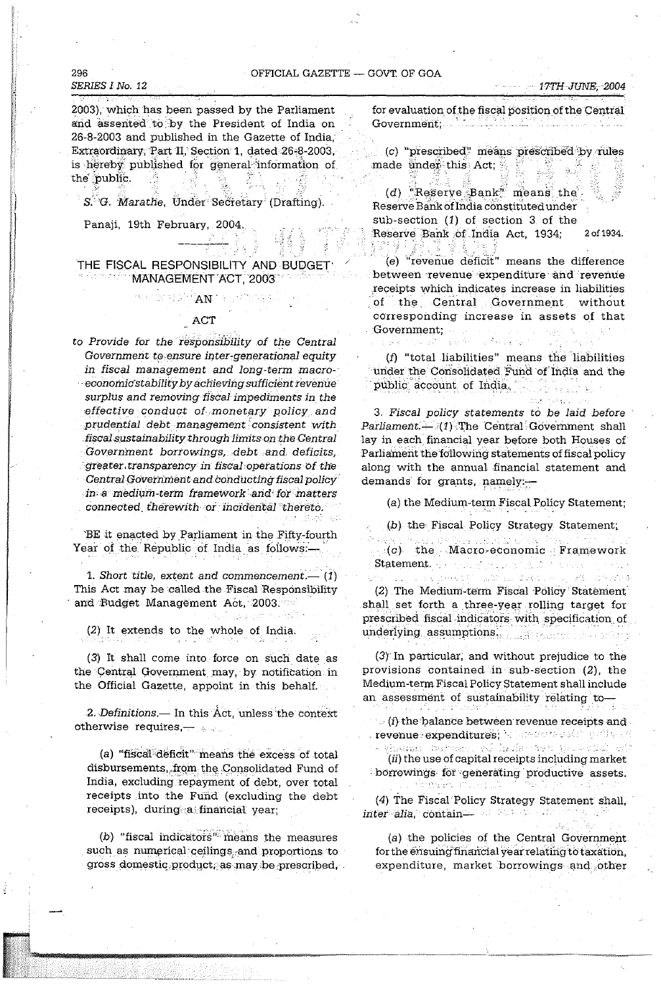#### OFFICIAL GAZETTE - GOVT OF GOA

#### 296 SERIES I No. 12

2003), which has been passed by the Parliament and assented to by the President of India on 26-8-2003 and published in the Gazette of India, Extraordinary, Part II, Section 1, dated 26-8-2003, is hereby published for general information of the public.

S. G. Marathe, Under Secretary (Drafting).

Panaji, 19th February, 2004.

#### THE FISCAL RESPONSIBILITY AND BUDGET MANAGEMENT ACT, 2003

#### ACT

decay for each  $\mathbf{A}\mathbf{N}$  is a constant of

to Provide for the responsibility of the Central Government to ensure inter-generational equity in fiscal management and long-term macroeconomic stability by achieving sufficient revenue surplus and removing fiscal impediments in the effective conduct of monetary policy and prudential debt management consistent with fiscal sustainability through limits on the Central Government borrowings, debt and deficits, greater transparency in fiscal operations of the Central Government and conducting fiscal policy in a medium-term framework and for matters connected therewith or incidental thereto.

BE it enacted by Parliament in the Fifty-fourth Year of the Republic of India as follows:-

1. Short title, extent and commencement.— $(1)$ This Act may be called the Fiscal Responsibility and Budget Management Act, 2003.

(2) It extends to the whole of India.

(3) It shall come into force on such date as the Central Government may, by notification in the Official Gazette, appoint in this behalf.

2. Definitions.— In this Act, unless the context otherwise requires,  $-$ 

(a) "fiscal deficit" means the excess of total disbursements, from the Consolidated Fund of India, excluding repayment of debt, over total receipts into the Fund (excluding the debt receipts), during a financial year;

(b) "fiscal indicators" means the measures such as numerical ceilings and proportions to gross domestic product, as may be prescribed, for evaluation of the fiscal position of the Central Government, the first hands

(c) "prescribed" means prescribed by rules - 양 made under this Act;

(d) "Reserve Bank" means the Reserve Bank of India constituted under sub-section  $(1)$  of section 3 of the Reserve Bank of India Act, 1934; 2 of 1934. ုံးမွှော် ( 3번 물 풍을 맞춰

(e) "revenue deficit" means the difference between revenue expenditure and revenue receipts which indicates increase in liabilities of the Central Government without corresponding increase in assets of that Government:

(f) "total liabilities" means the liabilities under the Consolidated Fund of India and the public account of India.

3. Fiscal policy statements to be laid before  $ParliameterL \rightarrow (1)$  The Central Government shall lay in each financial year before both Houses of Parliament the following statements of fiscal policy along with the annual financial statement and demands for grants, namely:-

(a) the Medium-term Fiscal Policy Statement;

(b) the Fiscal Policy Strategy Statement;

 $(c)$  the Macro-economic Framework Statement. The count parts in the problems

and module

| 光信 - 10 7 360円

(2) The Medium-term Fiscal Policy Statement shall set forth a three-year rolling target for prescribed fiscal indicators with specification of underlying assumptions. The contraction of

出来りだ

atur -

(3) In particular, and without prejudice to the provisions contained in sub-section (2), the Medium-term Fiscal Policy Statement shall include an assessment of sustainability relating to-

 $\mathcal{L}$  (i) the balance between revenue receipts and  $\mathcal{L}$ revenue expenditures; between the stringerity of

saan bebeer vilenteren polkini (ii) the use of capital receipts including market borrowings for generating productive assets. origin en alla software (15.)

(4) The Fiscal Policy Strategy Statement shall, inter alia, contain the series of the series of the

(a) the policies of the Central Government. for the ensuing financial year relating to taxation, expenditure, market borrowings and other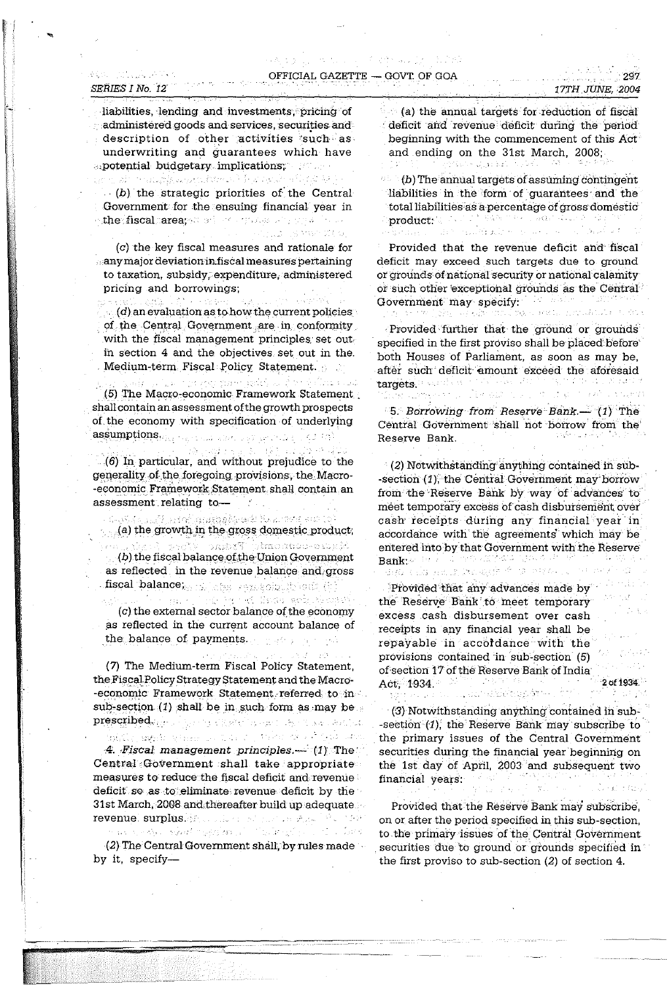#### OFFICIAL GAZETTE - GOVT. OF GOA

 $\{x_{i_1},\ldots,x_{i_n}\}$ 

THILL IS MATTED.

Report Follows

#### SERIES I No. 12

 $\label{eq:2.1} \lim_{\varepsilon\to 0} \frac{1}{\varepsilon} \sum_{\varepsilon\in \mathcal{C}} \sum_{\varepsilon\in \mathcal{C}} \frac{1}{\varepsilon} \sum_{\varepsilon\in \mathcal{C}} \frac{1}{\varepsilon} \sum_{\varepsilon\in \mathcal{C}} \frac{1}{\varepsilon} \sum_{\varepsilon\in \mathcal{C}} \frac{1}{\varepsilon} \sum_{\varepsilon\in \mathcal{C}} \frac{1}{\varepsilon} \sum_{\varepsilon\in \mathcal{C}} \frac{1}{\varepsilon} \sum_{\varepsilon\in \mathcal{C}} \frac{1}{\varepsilon$ 

liabilities, lending and investments, pricing of administered goods and services, securities and description of other activities such as. underwriting and guarantees which have apotential budgetary implications; and a

เท่ากูกสร้างการสอบเห็นสู่สุดแบ่งเท่าเรื่องการเกิดไป เข้ามาเป็นการเป็นการ คืน คืน  $(b)$  the strategic priorities of the Central Government for the ensuing financial year in withe fiscal carea, which is a speaking of a linear

(c) the key fiscal measures and rationale for any major deviation in fiscal measures pertaining to taxation, subsidy, expenditure, administered pricing and borrowings;

Seeth of the constant

 $\langle d \rangle$  an evaluation as to how the current policies of the Central Government are in conformity with the fiscal management principles set out in section 4 and the objectives set out in the Medium-term Fiscal Policy Statement.

ในมาก กระจะช่วงช่วยความชื่อยัง และเป็นที่ 10 เมื่อง เป็น มาเป (5) The Macro-economic Framework Statement shall contain an assessment of the growth prospects of the economy with specification of underlying  $\mathbf{assign} \textbf{p}$   $\{ \textit{ops}_{\mathcal{O}_{\text{AB}} \rightarrow \textit{ops}_{\text{AB}} \textit{ops}_{\text{AB}} \textit{ops}_{\text{AB}} \}$ 

高速盘子器 机联合油层分析量 (6) In particular, and without prejudice to the generality of the foregoing provisions, the Macro--economic Framework Statement shall contain an assessment relating to-

.<br>เมืองทั่วล้ายแนะเป็นไม่รับน้ำมนต่อสู้ผู้ต้องแน่นี้ ในหมายกัน คณะ (19)  $\mathcal{L}_{\mathbb{R}}(a)$  the growth in the gross domestic product; dram donomicznym Prasz z (b) the fiscal balance of the Union Government as reflected in the revenue balance and gross fiscal balance<sub>ka is</sub> large sepsecipally soft (i)

ma state by an international control (c) the external sector balance of the economy as reflected in the current account balance of the balance of payments. The contract of the balance of payments.

(7) The Medium-term Fiscal Policy Statement, the Fiscal Policy Strategy Statement and the Macro--economic Framework Statement referred to in sub-section  $(1)$  shall be in such form as may be prescribed and a proportional contraction and the

izini papi yimmoo too jirka doob iyo san 4. Fiscal management principles -- (1) The Central Government shall take appropriate measures to reduce the fiscal deficit and revenue deficit so as to eliminate revenue deficit by the 31st March, 2008 and thereafter build up adequate revenuel surplus. All collections and the state of the MAR

an service report magnitude it is the firm of the state of the

 $(2)$  The Central Government shall, by rules made  $\sim$ by it specify-

(a) the annual targets for reduction of fiscal deficit and revenue deficit during the period beginning with the commencement of this Act and ending on the 31st March, 2008; gradie windel visk.

(b) The annual targets of assuming contingent liabilities in the form of guarantees and the total liabilities as a percentage of gross domestic 

Provided that the revenue deficit and fiscal deficit may exceed such targets due to ground or grounds of national security or national calamity or such other exceptional grounds as the Central Government may specify: The contract of the contract of the contract of the contract of the contract of the contract of the contract of the contract of the contract of the contract of the contract of the contract of the co at cased. Annualita (1918)

jita -

Provided further that the ground or grounds specified in the first proviso shall be placed before both Houses of Parliament, as soon as may be, after such deficit amount exceed the aforesaid targets. a distrikção

5. Borrowing from Reserve Bank. (1) The Central Government shall not borrow from the Reserve Bank.

(2) Notwithstanding anything contained in sub--section (1), the Central Government may borrow from the Reserve Bank by way of advances to meet temporary excess of cash disbursement over cash receipts during any financial year in accordance with the agreements which may be entered into by that Government with the Reserve  $\text{Bank}_{k}$ se and a consequent to the set ਖੇਤਰ ਦਾਰ ਸਕਾਰ ਨਾਲ ਵਰਜਾ ਹੈ। 'ਤੇ ਸਥਾਨ

Provided that any advances made by the Reserve Bank to meet temporary excess cash disbursement over cash receipts in any financial year shall be repayable in accordance with the provisions contained in sub-section (5) of section 17 of the Reserve Bank of India Act, 1934. ., een albekoppart -

2 of 1934.

(3) Notwithstanding anything contained in sub--section  $(1)$ , the Reserve Bank may subscribe to the primary issues of the Central Government securities during the financial year beginning on the 1st day of April, 2003 and subsequent two financial years.

Provided that the Reserve Bank may subscribe. on or after the period specified in this sub-section, to the primary issues of the Central Government securities due to ground or grounds specified in the first proviso to sub-section  $(2)$  of section 4.

 $297$ 17TH JUNE, 2004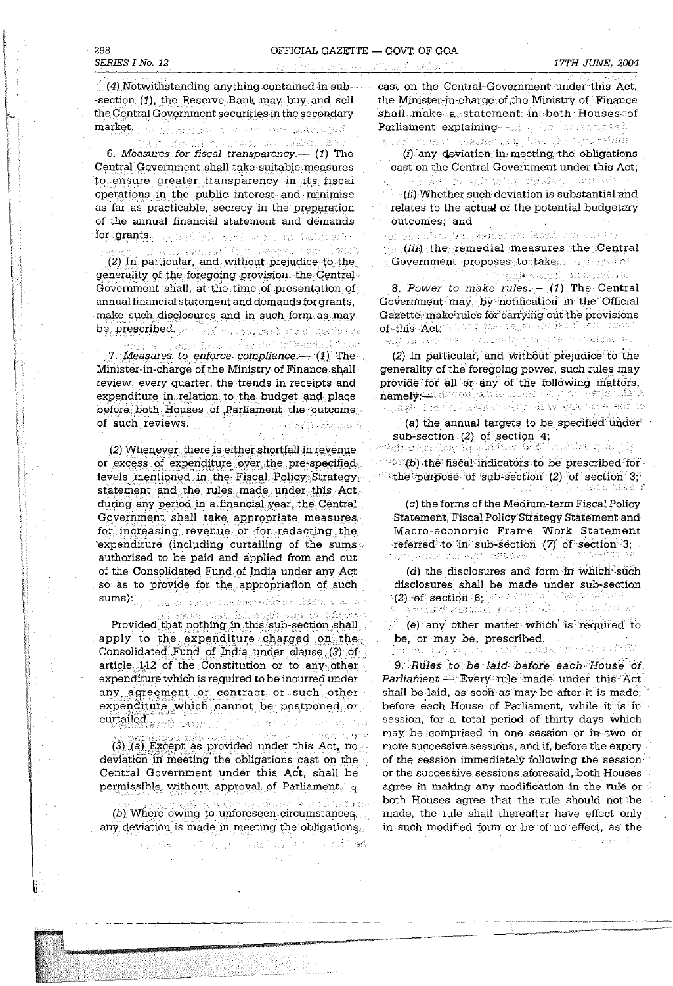(4) Notwithstanding anything contained in sub--section (1), the Reserve Bank may buy and sell the Central Government securities in the secondary market. By Massachuse and and ante anticomed

kat kepang termas an diadesi bed 6. Measures for fiscal transparency.—  $(1)$  The Central Government shall take suitable measures to ensure greater transparency in its fiscal operations in the public interest and minimise as far as practicable, secrecy in the preparation of the annual financial statement and demands for grants, person blocked and more testimonal

anb Persat di kubawan tersebutan (2) In particular, and without prejudice to the generality of the foregoing provision, the Central Government shall, at the time of presentation of annual financial statement and demands for grants, make such disclosures and in such form as may be prescribed. I hadd recover said and characters

an Kingshaff for Gando G Theor  $\sim 10^7$ 7. Measures to enforce compliance. $-$  (1) The Minister-in-charge of the Ministry of Finance shall review, every quarter, the trends in receipts and expenditure in relation to the budget and place before both Houses of Parliament the outcome of such reviews.  $\sim$  . The goods accumum

 $\sim 10^{-1}$ 

(2) Whenever there is either shortfall in revenue or excess of expenditure over the pre-specified levels mentioned in the Fiscal Policy Strategy statement and the rules made under this Act during any period in a financial year, the Central Government shall take appropriate measures. for increasing revenue or for redacting the `expenditure (including curtailing of the sums authorised to be paid and applied from and out of the Consolidated Fund of India under any Act so as to provide for the appropriation of such  $\textbf{sums}$ ):  $\mathcal{L}_{\text{c},\text{c},\text{c}}$ iasa nawa Chreipeg dikalo diasa: dia pap

iska nasvilsinnoide viin ni Akto Provided that nothing in this sub-section shall apply to the expenditure charged on the Consolidated Fund of India under clause (3) of article 112 of the Constitution or to any other expenditure which is required to be incurred under any agreement or contract or such other expenditure which cannot be postponed or curtailed.<br>Westman of Assembly Police and the control was

**Contact War** in insuccious mest (3) (a) Except as provided under this Act, no deviation in meeting the obligations cast on the Central Government under this Act, shall be permissible without approval of Parliament. q

g kidi dadi selimba se dalasti kun tul su tu bo (b) Where owing to unforeseen circumstances, any deviation is made in meeting the obligations.

್ಸ್ ಪ್ರೇಸ್ತಾಹಿತ ಪ್ರಾರಂಭವಾಗಿ **ಕಾ** 

cast on the Central Government under this Act. the Minister-in-charge of the Ministry of Finance shall make a statement in both Houses of Parliament explaining-solice common series and

មានភ្នំ ព្រះនេះនេះ ការមានអាយុនង្គា ខ្ញុំងប់ ឆ្លឹងដែលនាងអំណរ

 $(i)$  any deviation in meeting the obligations cast on the Central Government under this Act; groed administrator straters which

 $(i)$  Whether such deviation is substantial and relates to the actual or the potential budgetary outcomes; and

of Abmidthi and Williams faced the any (o)  $(iii)$  the remedial measures the Central Government proposes to take serves to?

riyakçı dövlətdir. 8. Power to make rules - (1) The Central Government may, by notification in the Official Gazette, make rules for carrying out the provisions of this Actionary populates and hold only micro All all ART we surrounded will be a starting of

(2) In particular, and without prejudice to the generality of the foregoing power, such rules may provide for all or any of the following matters, namely: the division between the completion that's <u> Timber and a nombordings diny yanglobe. Add to</u>

(a) the annual targets to be specified under sub-section (2) of section 4;

lat be a folget internet value because a pl  $\sim$   $(6)$  the fiscal indicators to be prescribed for the purpose of sub-section (2) of section 3,  $\mathcal{H}^1_{\mathcal{M}}(\mathcal{G}_1, \mathcal{G}_2) \cong \mathcal{H}^1_{\mathcal{M}}(\mathcal{G}_1, \mathcal{G}_2) \cong \mathcal{H}^1_{\mathcal{M}}(\mathcal{G}_1, \mathcal{G}_2) \cong \mathcal{H}^1_{\mathcal{M}}(\mathcal{G}_1, \mathcal{G}_2)$ 

(c) the forms of the Medium-term Fiscal Policy Statement, Fiscal Policy Strategy Statement and Macro-economic Frame Work Statement referred to in sub-section  $(7)$  of section 3; tatigolis euskler jestäkko kikult (1893) si

(d) the disclosures and form in which such disclosures shall be made under sub-section  $\mathcal{L}(2)$  of section 6, we are presented by  $\mathcal{L}(1)$ මත් ඉතාකමුත් මූර්කත්වයට පුරුද්දේශ රාම්, කළ කිස්සා එක සා

(e) any other matter which is required to be, or may be, prescribed.

. Gynell rysan yn all a'r fall andra Sungar 9. Rules to be laid before each House of Parliament.- Every rule made under this Act shall be laid, as soon as may be after it is made, before each House of Parliament, while it is in session, for a total period of thirty days which may be comprised in one session or in two or more successive sessions, and if, before the expiry of the session immediately following the session or the successive sessions aforesaid, both Houses  $\sim$ agree in making any modification in the rule or  $\cdot$ both Houses agree that the rule should not be made, the rule shall thereafter have effect only in such modified form or be of no effect, as the

みょうしょほうしばかい

17TH JUNE, 2004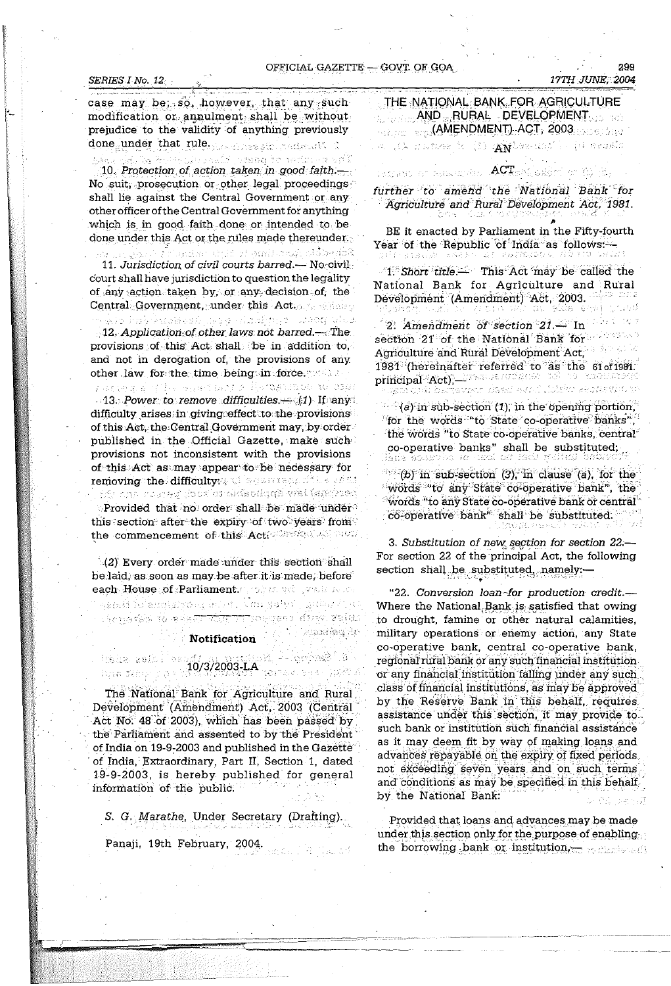#### SERIES I No. 12

299

case may be: so, however, that any such modification or annulment shall be without prejudice to the validity of anything previously done under that rule. The measurement of

น เป็นสิทธิ์ เป็นเดียว เป็นสิทธิ์ เป็นสิทธิ์ เป็นสิทธิ์ เป็นสิทธิ์ เป็นสิทธิ์ เป็นสิทธิ์ เป็นสิทธิ์<br>นี่ได้เจ้าตามเป็นสิทธิ์ เป็นสิทธิ์ เป็นสิทธิ์ เป็นสิทธิ์ เป็นสิทธิ์ เป็นสิทธิ์ เป็นสิทธิ์ เป็นสิทธิ์ เป็นสิทธิ 10. Protection of action taken in good faith.-No suit, prosecution or other legal proceedings shall lie against the Central Government or any other officer of the Central Government for anything which is in good faith done or intended to be done under this Act or the rules made thereunder.

ในการที่ประเทศการประเทศ เพลง และ แล้วคลอิสิ 11. Jurisdiction of civil courts barred.— No civil court shall have jurisdiction to question the legality of any action taken by, or any decision of, the Central Government, under this Act.

s Ale has keeldesk leed aladinge uitog viez 12. Application of other laws not barred.—The provisions of this Act shall be in addition to, and not in derogation of, the provisions of any other law for the time being in force,

y anyagia yihu saan asyo Karakutasa aa amu  $-13$ . Power to remove difficulties.  $-41$  If any difficulty arises in giving effect to the provisions of this Act, the Central Government may, by order published in the Official Gazette, make such provisions not inconsistent with the provisions of this Act as may appear to be necessary for removing the difficulty of search files sfall The contractory foother ship of a well is media Provided that no order shall be made under this section after the expiry of two years from the commencement of this Actions and Jerus

(2) Every order made under this section shall be laid, as soon as may be after it is made, before each House of Parliament model with weather

chopański na scham niję projechnia dżin. spier

10/3/2003-LA Creative Reserve

**Notification** 

# $\log_{10}$  = - light  $\log^2$  (  $3$

itàile aains os

has Sider

The National Bank for Agriculture and Rural, Development (Amendment) Act, 2003 (Central Act No. 48 of 2003), which has been passed by the Parliament and assented to by the President of India on 19-9-2003 and published in the Gazette of India, Extraordinary, Part II, Section 1, dated 19-9-2003, is hereby published for general information of the public.

S. G. Marathe, Under Secretary (Drafting). Panaji, 19th February, 2004.

*at*zoarteta ik

3. Substitution of new section for section 22 :-For section 22 of the principal Act, the following section shall be substituted, namely:-

"22. Conversion loan-for production credit.-Where the National Bank is satisfied that owing to drought, famine or other natural calamities, military operations or enemy action, any State co-operative bank, central co-operative bank, regional rural bank or any such financial institution or any financial institution falling under any such class of financial institutions, as may be approved by the Reserve Bank in this behalf, requires. assistance under this section, it may provide to. such bank or institution such financial assistance as it may deem fit by way of making loans and advances repayable on the expiry of fixed periods. not exceeding seven years and on such terms and conditions as may be specified in this behalf. by the National Bank:

Provided that loans and advances may be made under this section only for the purpose of enabling the borrowing bank or institution,

THE NATIONAL BANK FOR AGRICULTURE **AND RURAL DEVELOPMENT. GEORGE MAMENDMENT) ACT, 2003**  $\sigma_{\rm c}$  () restocate (1)  $\bf A\bf N$  was until the cases

# remake or analogous  $\overline{\text{ACT}}$ okari or til its

further to amend the National Bank for Agriculture and Rural Development Act, 1981.

BE it enacted by Parliament in the Fifty-fourth Year of the Republic of India as follows:-ALL PATRICOL ANNO VELL ロバイト はまみもし 取り しんみんきく

1. Short title. This Act may be called the National Bank for Agriculture and Rural Development (Amendment) Act, 2003. at side ern 在加速的现在 i yake.  $\sim$   $\approx$ 

2. Amendment of section  $21 - \ln$ section 21 of the National Bank for 30 RC Agriculture and Rural Development Act, 1981 (hereinafter referred to as the 61 of 1981. principal Act); Research contracts of the contracts run navçeye di şedi əyad ildiğa kəssanda tir

 $(a)$  in sub-section (1), in the opening portion, for the words "to State co-operative banks". the words "to State co-operative banks, central" co-operative banks" shall be substituted;

 $(b)$  in sub-section (3), in clause (a), for the words "to any State co-operative bank", the  $^\circ$ words "to any State co-operative bank or central" co-operative bank" shall be substituted.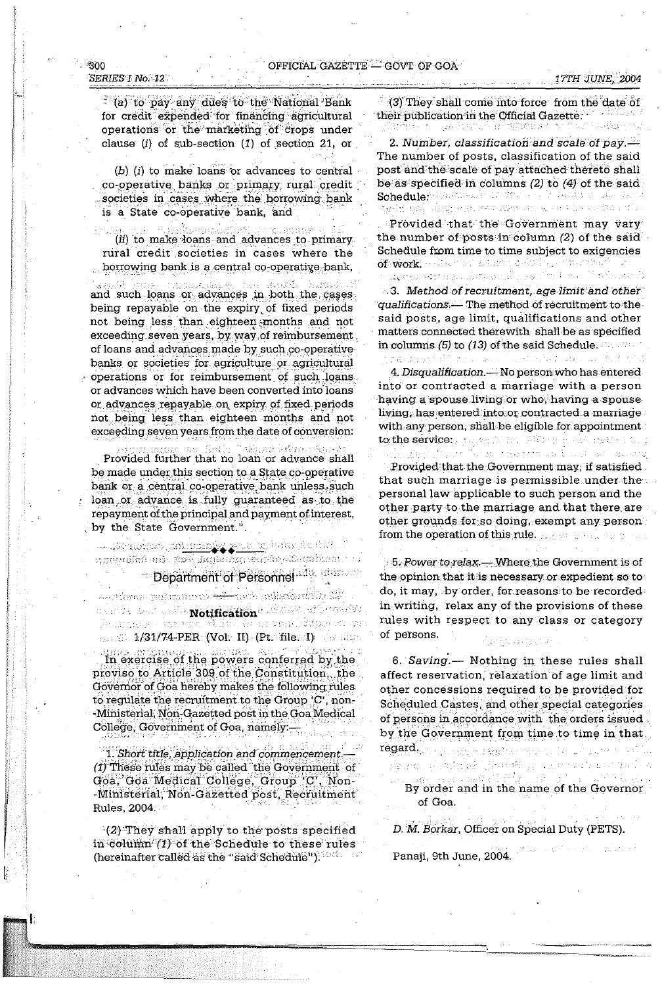## OFFICIAL GAZETTE GOVT OF GOA

#### ീററ SERIES I No. 12

(a) to pay any dues to the National Bank for credit expended for financing agricultural operations or the marketing of crops under clause  $(i)$  of sub-section  $(1)$  of section 21, or

 $(b)$  (i) to make loans or advances to central co-operative banks or primary rural credit societies in cases where the borrowing bank is a State co-operative bank, and

 $\sim 40.3$ .<br>เหตุการณ์

(ii) to make loans and advances to primary rural credit societies in cases where the borrowing bank is a central co-operative bank,

กล่าวของการใจเรื่อง การที่ความมุ่ง เช่นขึ้น Serventin S and such loans or advances in both the cases being repayable on the expiry of fixed periods not being less than eighteen months and not exceeding seven years, by way of reimbursement of loans and advances made by such co-operative banks or societies for agriculture or agricultural operations or for reimbursement of such loans. or advances which have been converted into loans or advances repayable on expiry of fixed periods not being less than eighteen months and not exceeding seven years from the date of conversion:

aying this second in Provided further that no loan or advance shall be made under this section to a State co-operative bank or a central co-operative bank unless such loan or advance is fully guaranteed as to the repayment of the principal and payment of interest, by the State Government.".

i – styckulosis, an<u>tanisnýc, generáln</u>í tránstik (1787–1 Department of Personnel all administration

Along pataniera <del>kal</del>inka alanda da **1/31/74-PER (Vol. II) (Pt. file. I)** which

In exercise of the powers conferred by the proviso to Article 309 of the Constitution, the Governor of Goa hereby makes the following rules to regulate the recruitment to the Group 'C', non--Ministerial, Non-Gazetted post in the Goa Medical College, Government of Goa, namely:-

1. Short title, application and commencement. (1) These rules may be called the Government of Goa, Goa Medical College, Group 'C', Non--Ministerial, Non-Gazetted post, Recruitment Rules, 2004.

(2) They shall apply to the posts specified in column (1) of the Schedule to these rules (hereinafter called as the "said Schedule").

(3) They shall come into force from the date of their publication in the Official Gazette. pas Control

2. Number, classification and scale of pay.  $-$ The number of posts, classification of the said post and the scale of pay attached thereto shall be as specified in columns  $(2)$  to  $(4)$  of the said Schedule: 1720 Cover For Contract on the Section All Party gedings) datjivede, eerskik an av ast betagding stil

Provided that the Government may vary the number of posts in column (2) of the said Schedule from time to time subject to exigencies of work - Hour by assume awaity with relative and وأراعهم وزارعوا أدرياهم الأرزار وحاجر وأعلم المراد وأعاد والتعاري والإيقال

8.3. Method of recruitment, age limit and other qualifications.— The method of recruitment to the said posts, age limit, qualifications and other matters connected therewith shall be as specified in columns (5) to (13) of the said Schedule.

ting in 1990 then no local contribution and the books 4. Disqualification. - No person who has entered into or contracted a marriage with a person having a spouse living or who, having a spouse living, has entered into or contracted a marriage with any person, shall be eligible for appointment :  $\rm{to, the~s$ ervice $\epsilon_{\rm s}$  , an gall. What his construction against the  $\zeta$ 

น<br>เมนุกรณ์ช่วย (สังคมไปที่ 1984) หมาย พันทรับบัติพันท์ นั่นเอง เจ้า ไฟล์ 1984 เจ้าบัติ

Provided that the Government may, if satisfied. that such marriage is permissible under the personal law applicable to such person and the other party to the marriage and that there are other grounds for so doing, exempt any person from the operation of this rule. The basic care and

5. Power to relax — Where the Government is of the opinion that it is necessary or expedient so to do, it may, by order, for reasons to be recorded. in writing, relax any of the provisions of these rules with respect to any class or category of persons. - [http://www.hartners.com]

6. Saving.— Nothing in these rules shall affect reservation, relaxation of age limit and other concessions required to be provided for Scheduled Castes, and other special categories. of persons in accordance with the orders issued by the Government from time to time in that. regard. The same weakening the company of the second in

By order and in the name of the Governor of Goa.

D. M. Borkar, Officer on Special Duty (PETS).

As mong-abades (1986) 1986 at a derival

Panaji, 9th June, 2004.

17TH JUNE, 2004